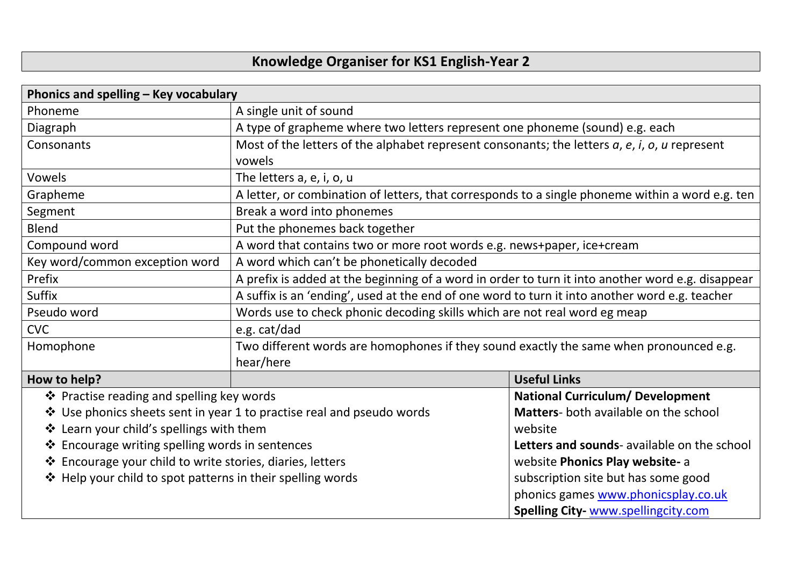## **Knowledge Organiser for KS1 English-Year 2**

| Phonics and spelling - Key vocabulary                                 |                                                                                                             |                                              |  |  |
|-----------------------------------------------------------------------|-------------------------------------------------------------------------------------------------------------|----------------------------------------------|--|--|
| Phoneme                                                               | A single unit of sound                                                                                      |                                              |  |  |
| Diagraph                                                              | A type of grapheme where two letters represent one phoneme (sound) e.g. each                                |                                              |  |  |
| Consonants                                                            | Most of the letters of the alphabet represent consonants; the letters $a$ , $e$ , $i$ , $o$ , $u$ represent |                                              |  |  |
|                                                                       | vowels                                                                                                      |                                              |  |  |
| Vowels                                                                | The letters a, e, i, o, u                                                                                   |                                              |  |  |
| Grapheme                                                              | A letter, or combination of letters, that corresponds to a single phoneme within a word e.g. ten            |                                              |  |  |
| Segment                                                               | Break a word into phonemes                                                                                  |                                              |  |  |
| <b>Blend</b>                                                          | Put the phonemes back together                                                                              |                                              |  |  |
| Compound word                                                         | A word that contains two or more root words e.g. news+paper, ice+cream                                      |                                              |  |  |
| Key word/common exception word                                        | A word which can't be phonetically decoded                                                                  |                                              |  |  |
| Prefix                                                                | A prefix is added at the beginning of a word in order to turn it into another word e.g. disappear           |                                              |  |  |
| Suffix                                                                | A suffix is an 'ending', used at the end of one word to turn it into another word e.g. teacher              |                                              |  |  |
| Pseudo word                                                           | Words use to check phonic decoding skills which are not real word eg meap                                   |                                              |  |  |
| <b>CVC</b>                                                            | e.g. cat/dad                                                                                                |                                              |  |  |
| Homophone                                                             | Two different words are homophones if they sound exactly the same when pronounced e.g.                      |                                              |  |  |
|                                                                       | hear/here                                                                                                   |                                              |  |  |
| How to help?                                                          |                                                                                                             | <b>Useful Links</b>                          |  |  |
| ❖ Practise reading and spelling key words                             |                                                                                                             | <b>National Curriculum/ Development</b>      |  |  |
| ❖ Use phonics sheets sent in year 1 to practise real and pseudo words |                                                                                                             | <b>Matters-</b> both available on the school |  |  |
| ❖ Learn your child's spellings with them                              |                                                                                                             | website                                      |  |  |
| ❖ Encourage writing spelling words in sentences                       |                                                                                                             | Letters and sounds- available on the school  |  |  |
| ❖ Encourage your child to write stories, diaries, letters             |                                                                                                             | website Phonics Play website- a              |  |  |
| ❖ Help your child to spot patterns in their spelling words            |                                                                                                             | subscription site but has some good          |  |  |
|                                                                       |                                                                                                             | phonics games www.phonicsplay.co.uk          |  |  |
|                                                                       |                                                                                                             | <b>Spelling City-WWW.spellingcity.com</b>    |  |  |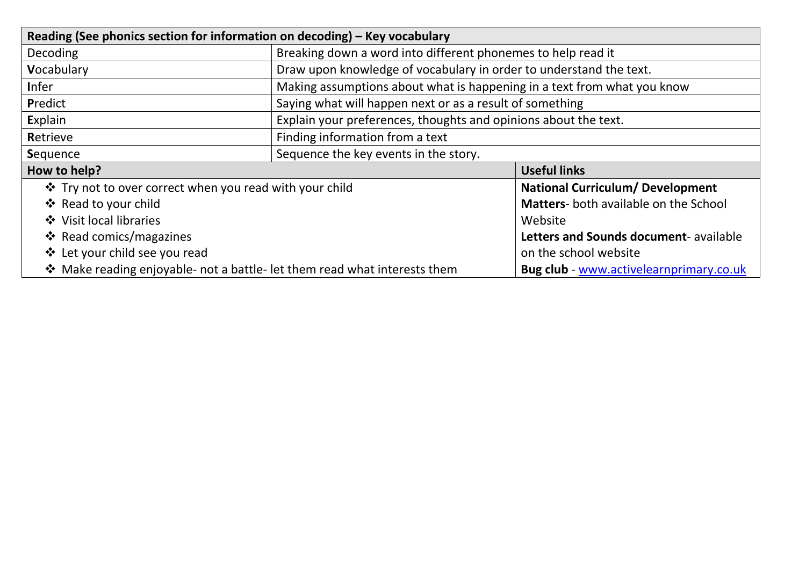| Reading (See phonics section for information on decoding) - Key vocabulary |                                                                         |                                                |  |  |
|----------------------------------------------------------------------------|-------------------------------------------------------------------------|------------------------------------------------|--|--|
| <b>Decoding</b>                                                            | Breaking down a word into different phonemes to help read it            |                                                |  |  |
| Vocabulary                                                                 | Draw upon knowledge of vocabulary in order to understand the text.      |                                                |  |  |
| <b>Infer</b>                                                               | Making assumptions about what is happening in a text from what you know |                                                |  |  |
| Predict                                                                    | Saying what will happen next or as a result of something                |                                                |  |  |
| Explain                                                                    | Explain your preferences, thoughts and opinions about the text.         |                                                |  |  |
| Retrieve                                                                   | Finding information from a text                                         |                                                |  |  |
| Sequence                                                                   | Sequence the key events in the story.                                   |                                                |  |  |
| How to help?                                                               |                                                                         | <b>Useful links</b>                            |  |  |
| ❖ Try not to over correct when you read with your child                    |                                                                         | <b>National Curriculum/ Development</b>        |  |  |
| ❖ Read to your child                                                       |                                                                         | <b>Matters-</b> both available on the School   |  |  |
| ❖ Visit local libraries                                                    |                                                                         | Website                                        |  |  |
| <b>❖</b> Read comics/magazines                                             |                                                                         | Letters and Sounds document- available         |  |  |
| ❖ Let your child see you read                                              |                                                                         | on the school website                          |  |  |
| ❖ Make reading enjoyable- not a battle- let them read what interests them  |                                                                         | <b>Bug club - www.activelearnprimary.co.uk</b> |  |  |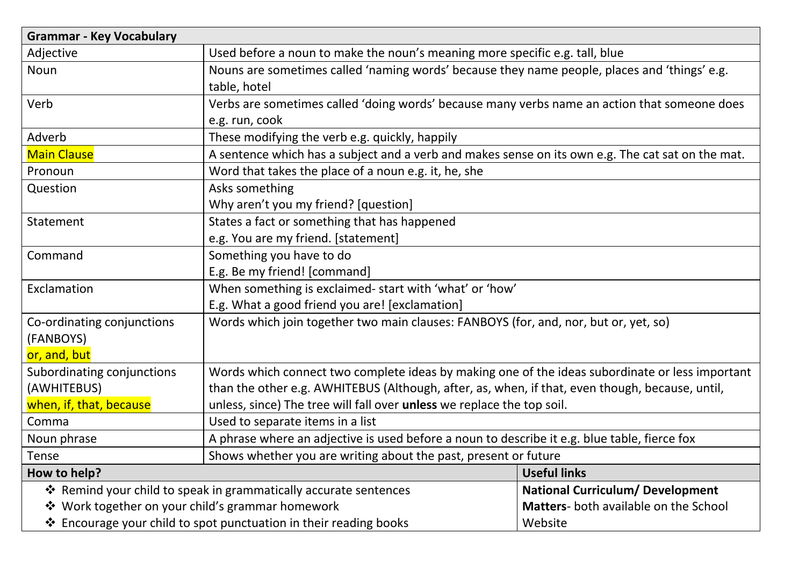| <b>Grammar - Key Vocabulary</b>                                   |                                                                                                                |                                       |  |  |
|-------------------------------------------------------------------|----------------------------------------------------------------------------------------------------------------|---------------------------------------|--|--|
| Adjective                                                         | Used before a noun to make the noun's meaning more specific e.g. tall, blue                                    |                                       |  |  |
| Noun                                                              | Nouns are sometimes called 'naming words' because they name people, places and 'things' e.g.<br>table, hotel   |                                       |  |  |
| Verb                                                              | Verbs are sometimes called 'doing words' because many verbs name an action that someone does<br>e.g. run, cook |                                       |  |  |
| Adverb                                                            | These modifying the verb e.g. quickly, happily                                                                 |                                       |  |  |
| <b>Main Clause</b>                                                | A sentence which has a subject and a verb and makes sense on its own e.g. The cat sat on the mat.              |                                       |  |  |
| Pronoun                                                           | Word that takes the place of a noun e.g. it, he, she                                                           |                                       |  |  |
| Question                                                          | Asks something<br>Why aren't you my friend? [question]                                                         |                                       |  |  |
| Statement                                                         | States a fact or something that has happened<br>e.g. You are my friend. [statement]                            |                                       |  |  |
| Command                                                           | Something you have to do<br>E.g. Be my friend! [command]                                                       |                                       |  |  |
| Exclamation                                                       | When something is exclaimed- start with 'what' or 'how'                                                        |                                       |  |  |
|                                                                   | E.g. What a good friend you are! [exclamation]                                                                 |                                       |  |  |
| Co-ordinating conjunctions<br>(FANBOYS)<br>or, and, but           | Words which join together two main clauses: FANBOYS (for, and, nor, but or, yet, so)                           |                                       |  |  |
| Subordinating conjunctions                                        | Words which connect two complete ideas by making one of the ideas subordinate or less important                |                                       |  |  |
| (AWHITEBUS)                                                       | than the other e.g. AWHITEBUS (Although, after, as, when, if that, even though, because, until,                |                                       |  |  |
| when, if, that, because                                           | unless, since) The tree will fall over unless we replace the top soil.                                         |                                       |  |  |
| Comma                                                             | Used to separate items in a list                                                                               |                                       |  |  |
| Noun phrase                                                       | A phrase where an adjective is used before a noun to describe it e.g. blue table, fierce fox                   |                                       |  |  |
| Tense                                                             | Shows whether you are writing about the past, present or future                                                |                                       |  |  |
| How to help?                                                      |                                                                                                                | <b>Useful links</b>                   |  |  |
|                                                                   | ❖ Remind your child to speak in grammatically accurate sentences                                               |                                       |  |  |
| ❖ Work together on your child's grammar homework                  |                                                                                                                | Matters- both available on the School |  |  |
| ❖ Encourage your child to spot punctuation in their reading books |                                                                                                                | Website                               |  |  |